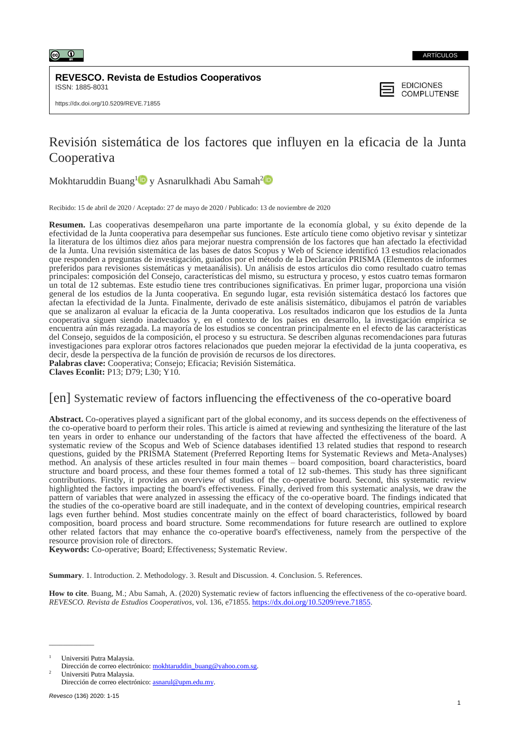

#### ARTÍCULOS

**REVESCO. Revista de Estudios Cooperativos** ISSN: 1885-8031

## **EDICIONES COMPLUTENSE**

# Revisión sistemática de los factores que influyen en la eficacia de la Junta Cooperativa

Mokhtaruddin Buang<sup>[1](https://orcid.org/0000-0001-8581-8140)</sup> Dy Asnarulkhadi Abu Samah<sup>[2](https://orcid.org/0000-0002-3259-3379)</sup>

Recibido: 15 de abril de 2020 / Aceptado: 27 de mayo de 2020 / Publicado: 13 de noviembre de 2020

**Resumen.** Las cooperativas desempeñaron una parte importante de la economía global, y su éxito depende de la efectividad de la Junta cooperativa para desempeñar sus funciones. Este artículo tiene como objetivo revisar y sintetizar la literatura de los últimos diez años para mejorar nuestra comprensión de los factores que han afectado la efectividad de la Junta. Una revisión sistemática de las bases de datos Scopus y Web of Science identificó 13 estudios relacionados que responden a preguntas de investigación, guiados por el método de la Declaración PRISMA (Elementos de informes preferidos para revisiones sistemáticas y metaanálisis). Un análisis de estos artículos dio como resultado cuatro temas principales: composición del Consejo, características del mismo, su estructura y proceso, y estos cuatro temas formaron un total de 12 subtemas. Este estudio tiene tres contribuciones significativas. En primer lugar, proporciona una visión general de los estudios de la Junta cooperativa. En segundo lugar, esta revisión sistemática destacó los factores que afectan la efectividad de la Junta. Finalmente, derivado de este análisis sistemático, dibujamos el patrón de variables que se analizaron al evaluar la eficacia de la Junta cooperativa. Los resultados indicaron que los estudios de la Junta cooperativa siguen siendo inadecuados y, en el contexto de los países en desarrollo, la investigación empírica se encuentra aún más rezagada. La mayoría de los estudios se concentran principalmente en el efecto de las características del Consejo, seguidos de la composición, el proceso y su estructura. Se describen algunas recomendaciones para futuras investigaciones para explorar otros factores relacionados que pueden mejorar la efectividad de la junta cooperativa, es decir, desde la perspectiva de la función de provisión de recursos de los directores.

**Palabras clave:** Cooperativa; Consejo; Eficacia; Revisión Sistemática.

**Claves Econlit:** P13; D79; L30; Y10*.*

# [en] Systematic review of factors influencing the effectiveness of the co-operative board

**Abstract.** Co-operatives played a significant part of the global economy, and its success depends on the effectiveness of the co-operative board to perform their roles. This article is aimed at reviewing and synthesizing the literature of the last ten years in order to enhance our understanding of the factors that have affected the effectiveness of the board. A systematic review of the Scopus and Web of Science databases identified 13 related studies that respond to research questions, guided by the PRISMA Statement (Preferred Reporting Items for Systematic Reviews and Meta-Analyses) method. An analysis of these articles resulted in four main themes – board composition, board characteristics, board structure and board process, and these four themes formed a total of 12 sub-themes. This study has three significant contributions. Firstly, it provides an overview of studies of the co-operative board. Second, this systematic review highlighted the factors impacting the board's effectiveness. Finally, derived from this systematic analysis, we draw the pattern of variables that were analyzed in assessing the efficacy of the co-operative board. The findings indicated that the studies of the co-operative board are still inadequate, and in the context of developing countries, empirical research lags even further behind. Most studies concentrate mainly on the effect of board characteristics, followed by board composition, board process and board structure. Some recommendations for future research are outlined to explore other related factors that may enhance the co-operative board's effectiveness, namely from the perspective of the resource provision role of directors.

**Keywords:** Co-operative; Board; Effectiveness; Systematic Review.

**Summary**. 1. Introduction. 2. Methodology. 3. Result and Discussion. 4. Conclusion. 5. References.

**How to cite**. Buang, M.; Abu Samah, A. (2020) Systematic review of factors influencing the effectiveness of the co-operative board. *REVESCO. Revista de Estudios Cooperativos*, vol. 136, e71855. [https://dx.doi.org/10.5209/reve.71855.](https://dx.doi.org/10.5209/reve.71855) 

Universiti Putra Malaysia.

 $\overline{\phantom{a}}$ 

Dirección de correo electrónico: [mokhtaruddin\\_buang@yahoo.com.sg.](mailto:mokhtaruddin_buang@yahoo.com.sg) <sup>2</sup> Universiti Putra Malaysia.

Dirección de correo electrónico: [asnarul@upm.edu.my.](mailto:asnarul@upm.edu.my)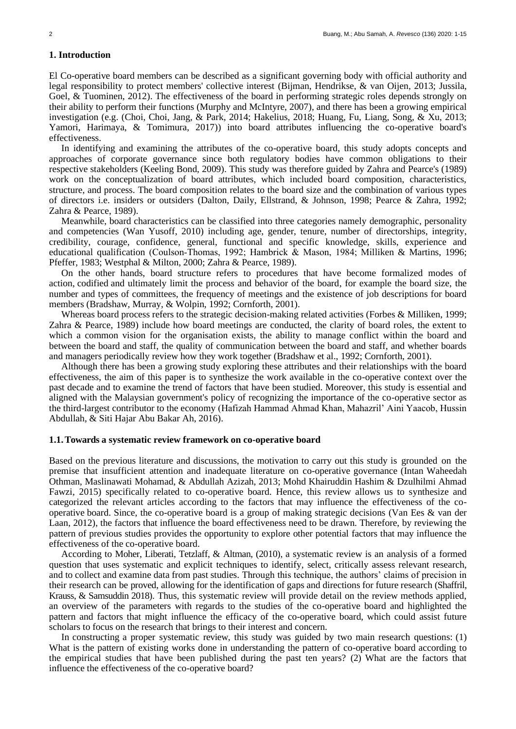## **1. Introduction**

El Co-operative board members can be described as a significant governing body with official authority and legal responsibility to protect members' collective interest (Bijman, Hendrikse, & van Oijen, 2013; Jussila, Goel, & Tuominen, 2012). The effectiveness of the board in performing strategic roles depends strongly on their ability to perform their functions (Murphy and McIntyre, 2007), and there has been a growing empirical investigation (e.g. (Choi, Choi, Jang, & Park, 2014; Hakelius, 2018; Huang, Fu, Liang, Song, & Xu, 2013; Yamori, Harimaya, & Tomimura, 2017)) into board attributes influencing the co-operative board's effectiveness.

In identifying and examining the attributes of the co-operative board, this study adopts concepts and approaches of corporate governance since both regulatory bodies have common obligations to their respective stakeholders (Keeling Bond, 2009). This study was therefore guided by Zahra and Pearce's (1989) work on the conceptualization of board attributes, which included board composition, characteristics, structure, and process. The board composition relates to the board size and the combination of various types of directors i.e. insiders or outsiders (Dalton, Daily, Ellstrand, & Johnson, 1998; Pearce & Zahra, 1992; Zahra & Pearce, 1989).

Meanwhile, board characteristics can be classified into three categories namely demographic, personality and competencies (Wan Yusoff, 2010) including age, gender, tenure, number of directorships, integrity, credibility, courage, confidence, general, functional and specific knowledge, skills, experience and educational qualification (Coulson‐Thomas, 1992; Hambrick & Mason, 1984; Milliken & Martins, 1996; Pfeffer, 1983; Westphal & Milton, 2000; Zahra & Pearce, 1989).

On the other hands, board structure refers to procedures that have become formalized modes of action, codified and ultimately limit the process and behavior of the board, for example the board size, the number and types of committees, the frequency of meetings and the existence of job descriptions for board members (Bradshaw, Murray, & Wolpin, 1992; Cornforth, 2001).

Whereas board process refers to the strategic decision-making related activities (Forbes & Milliken, 1999; Zahra & Pearce, 1989) include how board meetings are conducted, the clarity of board roles, the extent to which a common vision for the organisation exists, the ability to manage conflict within the board and between the board and staff, the quality of communication between the board and staff, and whether boards and managers periodically review how they work together (Bradshaw et al., 1992; Cornforth, 2001).

Although there has been a growing study exploring these attributes and their relationships with the board effectiveness, the aim of this paper is to synthesize the work available in the co-operative context over the past decade and to examine the trend of factors that have been studied. Moreover, this study is essential and aligned with the Malaysian government's policy of recognizing the importance of the co-operative sector as the third-largest contributor to the economy (Hafizah Hammad Ahmad Khan, Mahazril' Aini Yaacob, Hussin Abdullah, & Siti Hajar Abu Bakar Ah, 2016).

## **1.1.Towards a systematic review framework on co-operative board**

Based on the previous literature and discussions, the motivation to carry out this study is grounded on the premise that insufficient attention and inadequate literature on co-operative governance (Intan Waheedah Othman, Maslinawati Mohamad, & Abdullah Azizah, 2013; Mohd Khairuddin Hashim & Dzulhilmi Ahmad Fawzi, 2015) specifically related to co-operative board. Hence, this review allows us to synthesize and categorized the relevant articles according to the factors that may influence the effectiveness of the cooperative board. Since, the co-operative board is a group of making strategic decisions (Van Ees & van der Laan, 2012), the factors that influence the board effectiveness need to be drawn. Therefore, by reviewing the pattern of previous studies provides the opportunity to explore other potential factors that may influence the effectiveness of the co-operative board.

According to Moher, Liberati, Tetzlaff, & Altman, (2010), a systematic review is an analysis of a formed question that uses systematic and explicit techniques to identify, select, critically assess relevant research, and to collect and examine data from past studies. Through this technique, the authors' claims of precision in their research can be proved, allowing for the identification of gaps and directions for future research (Shaffril, Krauss, & Samsuddin 2018). Thus, this systematic review will provide detail on the review methods applied, an overview of the parameters with regards to the studies of the co-operative board and highlighted the pattern and factors that might influence the efficacy of the co-operative board, which could assist future scholars to focus on the research that brings to their interest and concern.

In constructing a proper systematic review, this study was guided by two main research questions: (1) What is the pattern of existing works done in understanding the pattern of co-operative board according to the empirical studies that have been published during the past ten years? (2) What are the factors that influence the effectiveness of the co-operative board?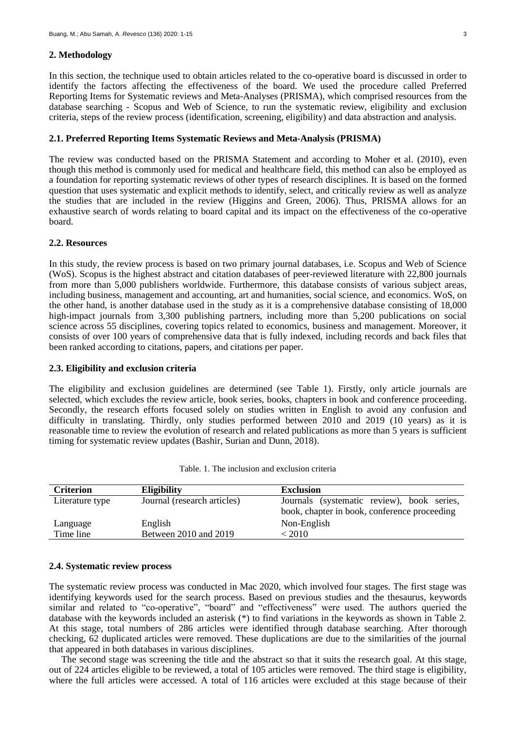#### **2. Methodology**

In this section, the technique used to obtain articles related to the co-operative board is discussed in order to identify the factors affecting the effectiveness of the board. We used the procedure called Preferred Reporting Items for Systematic reviews and Meta-Analyses (PRISMA), which comprised resources from the database searching - Scopus and Web of Science, to run the systematic review, eligibility and exclusion criteria, steps of the review process (identification, screening, eligibility) and data abstraction and analysis.

## **2.1. Preferred Reporting Items Systematic Reviews and Meta-Analysis (PRISMA)**

The review was conducted based on the PRISMA Statement and according to Moher et al. (2010), even though this method is commonly used for medical and healthcare field, this method can also be employed as a foundation for reporting systematic reviews of other types of research disciplines. It is based on the formed question that uses systematic and explicit methods to identify, select, and critically review as well as analyze the studies that are included in the review (Higgins and Green, 2006). Thus, PRISMA allows for an exhaustive search of words relating to board capital and its impact on the effectiveness of the co-operative board.

## **2.2. Resources**

In this study, the review process is based on two primary journal databases, i.e. Scopus and Web of Science (WoS). Scopus is the highest abstract and citation databases of peer-reviewed literature with 22,800 journals from more than 5,000 publishers worldwide. Furthermore, this database consists of various subject areas, including business, management and accounting, art and humanities, social science, and economics. WoS, on the other hand, is another database used in the study as it is a comprehensive database consisting of 18,000 high-impact journals from 3,300 publishing partners, including more than 5,200 publications on social science across 55 disciplines, covering topics related to economics, business and management. Moreover, it consists of over 100 years of comprehensive data that is fully indexed, including records and back files that been ranked according to citations, papers, and citations per paper.

### **2.3. Eligibility and exclusion criteria**

The eligibility and exclusion guidelines are determined (see Table 1). Firstly, only article journals are selected, which excludes the review article, book series, books, chapters in book and conference proceeding. Secondly, the research efforts focused solely on studies written in English to avoid any confusion and difficulty in translating. Thirdly, only studies performed between 2010 and 2019 (10 years) as it is reasonable time to review the evolution of research and related publications as more than 5 years is sufficient timing for systematic review updates (Bashir, Surian and Dunn, 2018).

| Criterion       | <b>Eligibility</b>          | <b>Exclusion</b>                                                                           |
|-----------------|-----------------------------|--------------------------------------------------------------------------------------------|
| Literature type | Journal (research articles) | Journals (systematic review), book series,<br>book, chapter in book, conference proceeding |
| Language        | English                     | Non-English                                                                                |
| Time line       | Between 2010 and 2019       | < 2010                                                                                     |

|  |  | Table. 1. The inclusion and exclusion criteria |  |
|--|--|------------------------------------------------|--|
|--|--|------------------------------------------------|--|

### **2.4. Systematic review process**

The systematic review process was conducted in Mac 2020, which involved four stages. The first stage was identifying keywords used for the search process. Based on previous studies and the thesaurus, keywords similar and related to "co-operative", "board" and "effectiveness" were used. The authors queried the database with the keywords included an asterisk (\*) to find variations in the keywords as shown in Table 2. At this stage, total numbers of 286 articles were identified through database searching. After thorough checking, 62 duplicated articles were removed. These duplications are due to the similarities of the journal that appeared in both databases in various disciplines.

The second stage was screening the title and the abstract so that it suits the research goal. At this stage, out of 224 articles eligible to be reviewed, a total of 105 articles were removed. The third stage is eligibility, where the full articles were accessed. A total of 116 articles were excluded at this stage because of their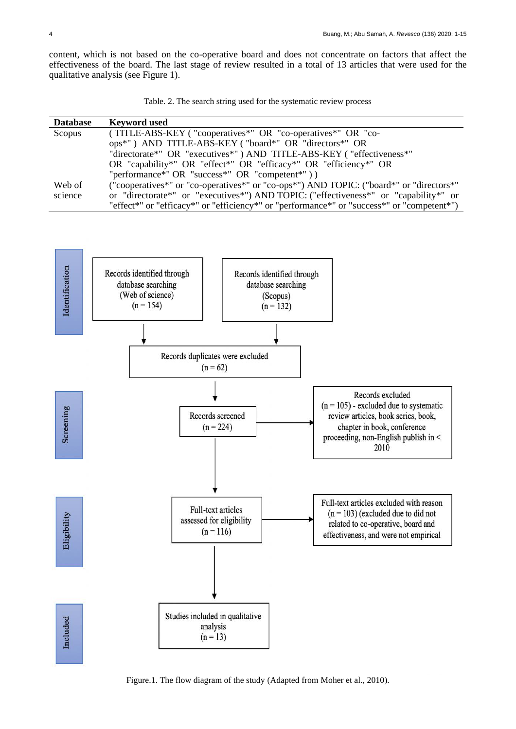content, which is not based on the co-operative board and does not concentrate on factors that affect the effectiveness of the board. The last stage of review resulted in a total of 13 articles that were used for the qualitative analysis (see Figure 1).

|  |  |  | Table. 2. The search string used for the systematic review process |  |
|--|--|--|--------------------------------------------------------------------|--|
|  |  |  |                                                                    |  |

| <b>Database</b> | <b>Keyword</b> used                                                                        |
|-----------------|--------------------------------------------------------------------------------------------|
| Scopus          | (TITLE-ABS-KEY ("cooperatives*" OR "co-operatives*" OR "co-                                |
|                 | ops*") AND TITLE-ABS-KEY ("board*" OR "directors*" OR                                      |
|                 | "directorate*" OR "executives*") AND TITLE-ABS-KEY ("effectiveness*"                       |
|                 | OR "capability*" OR "effect*" OR "efficacy*" OR "efficiency*" OR                           |
|                 | "performance*" OR "success*" OR "competent*" $)$ )                                         |
| Web of          | ("cooperatives*" or "co-operatives*" or "co-ops*") AND TOPIC: ("board*" or "directors*"    |
| science         | or "directorate*" or "executives*") AND TOPIC: ("effectiveness*" or "capability*" or       |
|                 | "effect*" or "efficacy*" or "efficiency*" or "performance*" or "success*" or "competent*") |



Figure.1. The flow diagram of the study (Adapted from Moher et al., 2010).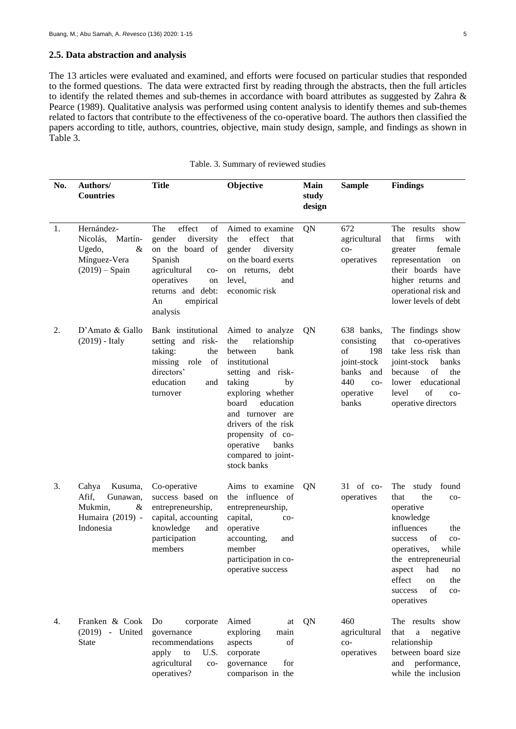## **2.5. Data abstraction and analysis**

The 13 articles were evaluated and examined, and efforts were focused on particular studies that responded to the formed questions. The data were extracted first by reading through the abstracts, then the full articles to identify the related themes and sub-themes in accordance with board attributes as suggested by Zahra & Pearce (1989). Qualitative analysis was performed using content analysis to identify themes and sub-themes related to factors that contribute to the effectiveness of the co-operative board. The authors then classified the papers according to title, authors, countries, objective, main study design, sample, and findings as shown in Table 3.

| No. | Authors/<br><b>Countries</b>                                                           | <b>Title</b>                                                                                                                                                              |                                                                                                                                                                                                                                                                                        | Main<br>study<br>design | <b>Sample</b>                                                                                              | <b>Findings</b>                                                                                                                                                                                                                                                    |  |  |
|-----|----------------------------------------------------------------------------------------|---------------------------------------------------------------------------------------------------------------------------------------------------------------------------|----------------------------------------------------------------------------------------------------------------------------------------------------------------------------------------------------------------------------------------------------------------------------------------|-------------------------|------------------------------------------------------------------------------------------------------------|--------------------------------------------------------------------------------------------------------------------------------------------------------------------------------------------------------------------------------------------------------------------|--|--|
| 1.  | Hernández-<br>Nicolás, Martín-<br>&<br>Ugedo,<br>Mínguez-Vera<br>$(2019) -$ Spain      | The<br>effect<br>of<br>gender<br>diversity<br>on the board of<br>Spanish<br>agricultural<br>$co-$<br>operatives<br>on<br>returns and debt:<br>empirical<br>An<br>analysis | Aimed to examine<br>effect<br>the<br>that<br>gender<br>diversity<br>on the board exerts<br>debt<br>on returns,<br>level,<br>and<br>economic risk                                                                                                                                       | QN                      | 672<br>agricultural<br>$_{\rm CO-}$<br>operatives                                                          | The results show<br>firms<br>with<br>that<br>female<br>greater<br>representation<br>on<br>their boards have<br>higher returns and<br>operational risk and<br>lower levels of debt                                                                                  |  |  |
| 2.  | D'Amato & Gallo<br>$(2019)$ - Italy                                                    | Bank institutional<br>setting and risk-<br>taking:<br>the<br>of<br>missing role<br>directors'<br>education<br>and<br>turnover                                             | Aimed to analyze<br>relationship<br>the<br>between<br>bank<br>institutional<br>setting and risk-<br>taking<br>by<br>exploring whether<br>board<br>education<br>and turnover are<br>drivers of the risk<br>propensity of co-<br>operative<br>banks<br>compared to joint-<br>stock banks | QN                      | 638 banks,<br>consisting<br>of<br>198<br>joint-stock<br>banks<br>and<br>440<br>$CO-$<br>operative<br>banks | The findings show<br>co-operatives<br>that<br>take less risk than<br>joint-stock<br>banks<br>of<br>the<br>because<br>educational<br>lower<br>of<br>level<br>$CO-$<br>operative directors                                                                           |  |  |
| 3.  | Kusuma,<br>Cahya<br>Afif,<br>Gunawan,<br>Mukmin,<br>&<br>Humaira (2019) -<br>Indonesia | Co-operative<br>success based on<br>entrepreneurship,<br>capital, accounting<br>knowledge<br>and<br>participation<br>members                                              | Aims to examine<br>the influence of<br>entrepreneurship,<br>capital,<br>$co-$<br>operative<br>accounting,<br>and<br>member<br>participation in co-<br>operative success                                                                                                                | QN                      | $31$ of co-<br>operatives                                                                                  | found<br>The<br>study<br>the<br>that<br>$co-$<br>operative<br>knowledge<br>influences<br>the<br>of<br>success<br>$co-$<br>while<br>operatives,<br>the entrepreneurial<br>aspect<br>had<br>no<br>effect<br>the<br>on<br>of<br>success<br>$_{\rm CO-}$<br>operatives |  |  |
| 4.  | Franken & Cook<br>(2019) - United<br><b>State</b>                                      | Do<br>corporate<br>governance<br>recommendations<br>apply<br>to<br>U.S.<br>agricultural<br>$_{\rm CO-}$<br>operatives?                                                    | Aimed<br>at<br>exploring<br>main<br>aspects<br>of<br>corporate<br>for<br>governance<br>comparison in the                                                                                                                                                                               | QN                      | 460<br>agricultural<br>$co-$<br>operatives                                                                 | The results show<br>that<br>negative<br>$\rm{a}$<br>relationship<br>between board size<br>and performance,<br>while the inclusion                                                                                                                                  |  |  |

comparison in the

operatives?

| Table. 3. Summary of reviewed studies |  |  |
|---------------------------------------|--|--|
|---------------------------------------|--|--|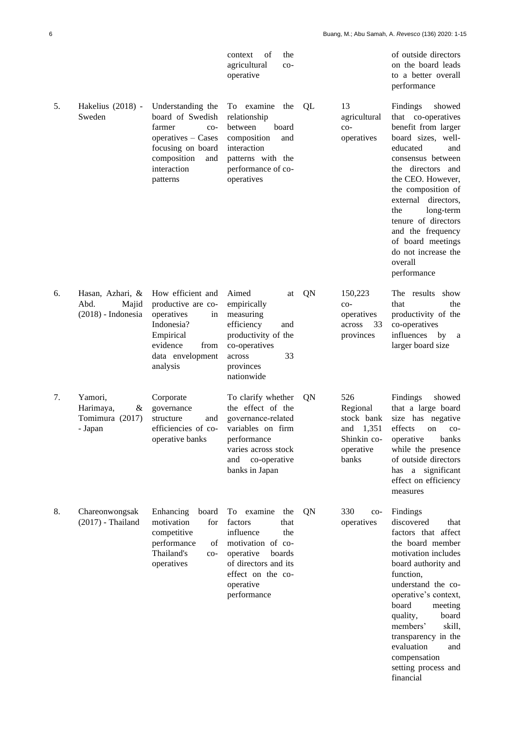|    |                                                           |                                                                                                                                                             | οf<br>the<br>context<br>agricultural<br>$co-$<br>operative                                                                                                                       |    |                                                                                    | of outside directors<br>on the board leads<br>to a better overall<br>performance                                                                                                                                                                                                                                                                           |
|----|-----------------------------------------------------------|-------------------------------------------------------------------------------------------------------------------------------------------------------------|----------------------------------------------------------------------------------------------------------------------------------------------------------------------------------|----|------------------------------------------------------------------------------------|------------------------------------------------------------------------------------------------------------------------------------------------------------------------------------------------------------------------------------------------------------------------------------------------------------------------------------------------------------|
| 5. | Hakelius (2018) -<br>Sweden                               | Understanding the<br>board of Swedish<br>farmer<br>$_{\rm CO-}$<br>operatives - Cases<br>focusing on board<br>composition<br>and<br>interaction<br>patterns | To examine<br>the<br>relationship<br>between<br>board<br>composition<br>and<br>interaction<br>patterns with the<br>performance of co-<br>operatives                              | QL | 13<br>agricultural<br>$co-$<br>operatives                                          | Findings<br>showed<br>that co-operatives<br>benefit from larger<br>board sizes, well-<br>educated<br>and<br>consensus between<br>the directors and<br>the CEO. However,<br>the composition of<br>external directors,<br>long-term<br>the<br>tenure of directors<br>and the frequency<br>of board meetings<br>do not increase the<br>overall<br>performance |
| 6. | Hasan, Azhari, &<br>Abd.<br>Majid<br>$(2018)$ - Indonesia | How efficient and<br>productive are co-<br>operatives<br>in<br>Indonesia?<br>Empirical<br>evidence<br>from<br>data envelopment<br>analysis                  | Aimed<br>at<br>empirically<br>measuring<br>efficiency<br>and<br>productivity of the<br>co-operatives<br>33<br>across<br>provinces<br>nationwide                                  | QN | 150,223<br>$CO-$<br>operatives<br>across<br>33<br>provinces                        | The results<br>show<br>that<br>the<br>productivity of the<br>co-operatives<br>influences<br>by<br>a<br>larger board size                                                                                                                                                                                                                                   |
| 7. | Yamori,<br>Harimaya,<br>&<br>Tomimura (2017)<br>- Japan   | Corporate<br>governance<br>structure<br>and<br>efficiencies of co-<br>operative banks                                                                       | To clarify whether<br>the effect of the<br>governance-related<br>variables on firm<br>performance<br>varies across stock<br>and<br>co-operative<br>banks in Japan                | QN | 526<br>Regional<br>stock bank<br>1,351<br>and<br>Shinkin co-<br>operative<br>banks | Findings<br>showed<br>that a large board<br>size has negative<br>effects<br>on<br>$co-$<br>banks<br>operative<br>while the presence<br>of outside directors<br>has a significant<br>effect on efficiency<br>measures                                                                                                                                       |
| 8. | Chareonwongsak<br>$(2017)$ - Thailand                     | Enhancing<br>board<br>motivation<br>for<br>competitive<br>performance<br>of<br>Thailand's<br>$_{\rm CO-}$<br>operatives                                     | examine<br>To<br>the<br>factors<br>that<br>influence<br>the<br>motivation of co-<br>operative<br>boards<br>of directors and its<br>effect on the co-<br>operative<br>performance | QN | 330<br>$_{\rm CO-}$<br>operatives                                                  | Findings<br>discovered<br>that<br>factors that affect<br>the board member<br>motivation includes<br>board authority and<br>function,<br>understand the co-<br>operative's context,<br>board<br>meeting<br>quality,<br>board<br>members'<br>skill,<br>transparency in the<br>evaluation<br>and<br>compensation<br>setting process and<br>financial          |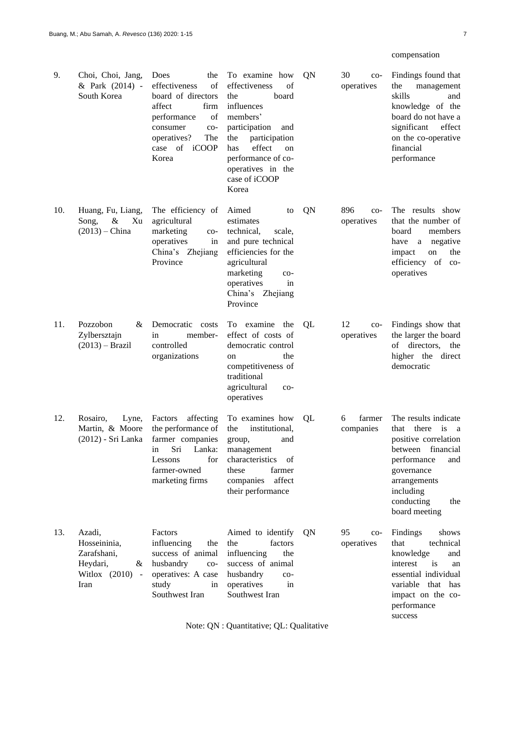# compensation

| 9.  | Choi, Choi, Jang,<br>& Park (2014) -<br>South Korea                               | Does<br>the<br>effectiveness<br>οf<br>board of directors<br>affect<br>firm<br>performance<br>of<br>consumer<br>co-<br>operatives?<br>The<br>case of iCOOP<br>Korea | To examine how<br>effectiveness<br>οf<br>board<br>the<br>influences<br>members'<br>participation<br>and<br>the<br>participation<br>effect<br>has<br>on<br>performance of co-<br>operatives in the<br>case of iCOOP<br>Korea | QN | 30<br>$co-$<br>operatives        | Findings found that<br>the<br>management<br>skills<br>and<br>knowledge of the<br>board do not have a<br>significant<br>effect<br>on the co-operative<br>financial<br>performance                                               |
|-----|-----------------------------------------------------------------------------------|--------------------------------------------------------------------------------------------------------------------------------------------------------------------|-----------------------------------------------------------------------------------------------------------------------------------------------------------------------------------------------------------------------------|----|----------------------------------|--------------------------------------------------------------------------------------------------------------------------------------------------------------------------------------------------------------------------------|
| 10. | Huang, Fu, Liang,<br>Song,<br>&<br>Xu<br>$(2013)$ – China                         | The efficiency of<br>agricultural<br>marketing<br>$_{\rm CO-}$<br>operatives<br>in<br>China's Zhejiang<br>Province                                                 | Aimed<br>to<br>estimates<br>technical,<br>scale,<br>and pure technical<br>efficiencies for the<br>agricultural<br>marketing<br>$co-$<br>operatives<br>in<br>China's Zhejiang<br>Province                                    | QN | 896<br>$CO-$<br>operatives       | The results show<br>that the number of<br>board<br>members<br>negative<br>have<br>a<br>impact<br>on<br>the<br>efficiency of<br>$_{\rm CO}$ -<br>operatives                                                                     |
| 11. | Pozzobon<br>&<br>Zylbersztajn<br>$(2013)$ – Brazil                                | Democratic<br>costs<br>member-<br>in<br>controlled<br>organizations                                                                                                | To examine the<br>effect of costs of<br>democratic control<br>the<br>on<br>competitiveness of<br>traditional<br>agricultural<br>$_{\rm CO-}$<br>operatives                                                                  | QL | 12<br>$_{\rm CO-}$<br>operatives | Findings show that<br>the larger the board<br>directors,<br>of<br>the<br>higher the direct<br>democratic                                                                                                                       |
| 12. | Rosairo,<br>Lyne,<br>Martin, & Moore<br>(2012) - Sri Lanka                        | affecting<br>Factors<br>the performance of<br>farmer companies<br>Sri<br>Lanka:<br>in<br>Lessons<br>for<br>farmer-owned<br>marketing firms                         | To examines how<br>institutional,<br>the<br>and<br>group,<br>management<br>of<br>characteristics<br>these<br>farmer<br>affect<br>companies<br>their performance                                                             | QL | farmer<br>6<br>companies         | The results indicate<br>there<br>that<br>$\overline{1}$<br><sub>a</sub><br>positive correlation<br>financial<br>between<br>performance<br>and<br>governance<br>arrangements<br>including<br>conducting<br>the<br>board meeting |
| 13. | Azadi,<br>Hosseininia,<br>Zarafshani,<br>Heydari,<br>&<br>Witlox (2010) -<br>Iran | Factors<br>influencing<br>the<br>success of animal<br>husbandry<br>$_{\rm CO-}$<br>operatives: A case<br>study<br>in<br>Southwest Iran                             | Aimed to identify<br>the<br>factors<br>influencing<br>the<br>success of animal<br>husbandry<br>$CO-$<br>operatives<br>in<br>Southwest Iran                                                                                  | QN | 95<br>$co-$<br>operatives        | Findings<br>shows<br>technical<br>that<br>knowledge<br>and<br>interest<br>is<br>an<br>essential individual<br>variable that<br>has<br>impact on the co-<br>performance<br>success                                              |

Note: QN : Quantitative; QL: Qualitative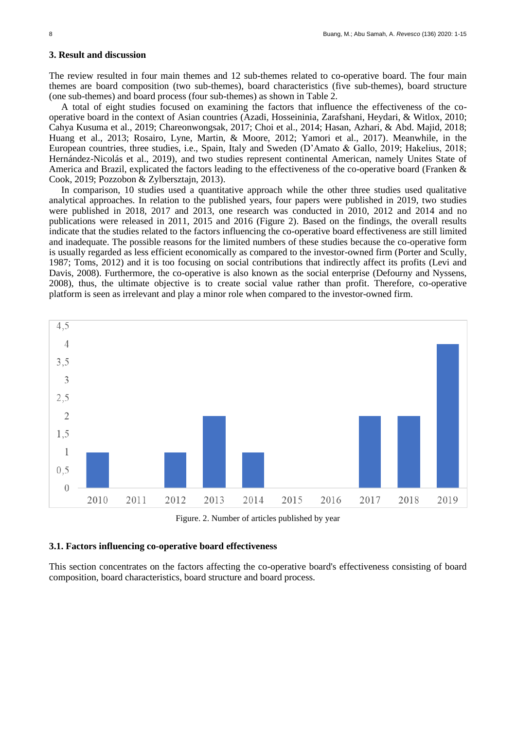#### **3. Result and discussion**

The review resulted in four main themes and 12 sub-themes related to co-operative board. The four main themes are board composition (two sub-themes), board characteristics (five sub-themes), board structure (one sub-themes) and board process (four sub-themes) as shown in Table 2.

A total of eight studies focused on examining the factors that influence the effectiveness of the cooperative board in the context of Asian countries (Azadi, Hosseininia, Zarafshani, Heydari, & Witlox, 2010; Cahya Kusuma et al., 2019; Chareonwongsak, 2017; Choi et al., 2014; Hasan, Azhari, & Abd. Majid, 2018; Huang et al., 2013; Rosairo, Lyne, Martin, & Moore, 2012; Yamori et al., 2017). Meanwhile, in the European countries, three studies, i.e., Spain, Italy and Sweden (D'Amato & Gallo, 2019; Hakelius, 2018; Hernández-Nicolás et al., 2019), and two studies represent continental American, namely Unites State of America and Brazil, explicated the factors leading to the effectiveness of the co-operative board (Franken & Cook, 2019; Pozzobon & Zylbersztajn, 2013).

In comparison, 10 studies used a quantitative approach while the other three studies used qualitative analytical approaches. In relation to the published years, four papers were published in 2019, two studies were published in 2018, 2017 and 2013, one research was conducted in 2010, 2012 and 2014 and no publications were released in 2011, 2015 and 2016 (Figure 2). Based on the findings, the overall results indicate that the studies related to the factors influencing the co-operative board effectiveness are still limited and inadequate. The possible reasons for the limited numbers of these studies because the co-operative form is usually regarded as less efficient economically as compared to the investor-owned firm (Porter and Scully, 1987; Toms, 2012) and it is too focusing on social contributions that indirectly affect its profits (Levi and Davis, 2008). Furthermore, the co-operative is also known as the social enterprise (Defourny and Nyssens, 2008), thus, the ultimate objective is to create social value rather than profit. Therefore, co-operative platform is seen as irrelevant and play a minor role when compared to the investor-owned firm.



Figure. 2. Number of articles published by year

## **3.1. Factors influencing co-operative board effectiveness**

This section concentrates on the factors affecting the co-operative board's effectiveness consisting of board composition, board characteristics, board structure and board process.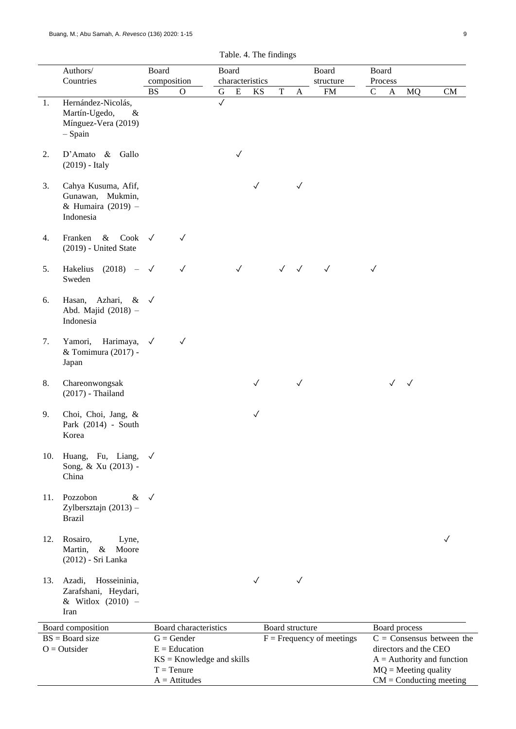|     | Authors/                                                                        |              | Board<br>Board<br>composition<br>characteristics                                |              |              |              | Board           |              |                             |              | Board        |                                                 |                                                             |
|-----|---------------------------------------------------------------------------------|--------------|---------------------------------------------------------------------------------|--------------|--------------|--------------|-----------------|--------------|-----------------------------|--------------|--------------|-------------------------------------------------|-------------------------------------------------------------|
|     | Countries                                                                       | <b>BS</b>    | $\mathbf O$                                                                     | G            | ${\bf E}$    | KS           | $\mathbf T$     |              | structure<br>${\rm FM}$     | $\mathbf C$  | Process      | MQ                                              | CM                                                          |
| 1.  | Hernández-Nicolás,<br>Martín-Ugedo,<br>$\&$<br>Mínguez-Vera (2019)<br>$-$ Spain |              |                                                                                 | $\checkmark$ |              |              |                 | A            |                             |              | $\mathbf{A}$ |                                                 |                                                             |
| 2.  | $D'Amato \&$<br>Gallo<br>$(2019)$ - Italy                                       |              |                                                                                 |              | $\checkmark$ |              |                 |              |                             |              |              |                                                 |                                                             |
| 3.  | Cahya Kusuma, Afif,<br>Gunawan, Mukmin,<br>& Humaira (2019) -<br>Indonesia      |              |                                                                                 |              |              | $\checkmark$ |                 | $\checkmark$ |                             |              |              |                                                 |                                                             |
| 4.  | Cook<br>Franken<br>$\&$<br>(2019) - United State                                | $\checkmark$ | $\checkmark$                                                                    |              |              |              |                 |              |                             |              |              |                                                 |                                                             |
| 5.  | Hakelius<br>$(2018) -$<br>Sweden                                                | $\sqrt{ }$   | $\checkmark$                                                                    |              | $\checkmark$ |              | $\checkmark$    | $\checkmark$ | $\checkmark$                | $\checkmark$ |              |                                                 |                                                             |
| 6.  | Hasan,<br>Azhari,<br>$\&$<br>Abd. Majid (2018) -<br>Indonesia                   | $\checkmark$ |                                                                                 |              |              |              |                 |              |                             |              |              |                                                 |                                                             |
| 7.  | Harimaya,<br>Yamori,<br>& Tomimura (2017) -<br>Japan                            | $\checkmark$ | $\sqrt{ }$                                                                      |              |              |              |                 |              |                             |              |              |                                                 |                                                             |
| 8.  | Chareonwongsak<br>$(2017)$ - Thailand                                           |              |                                                                                 |              |              | $\checkmark$ |                 | $\checkmark$ |                             |              | $\checkmark$ | $\sqrt{}$                                       |                                                             |
| 9.  | Choi, Choi, Jang, &<br>Park (2014) - South<br>Korea                             |              |                                                                                 |              |              | $\checkmark$ |                 |              |                             |              |              |                                                 |                                                             |
| 10. | Huang, Fu, Liang,<br>Song, & Xu (2013) -<br>China                               | $\checkmark$ |                                                                                 |              |              |              |                 |              |                             |              |              |                                                 |                                                             |
| 11. | Pozzobon<br>& $\sqrt{ }$<br>Zylbersztajn $(2013)$ –<br><b>Brazil</b>            |              |                                                                                 |              |              |              |                 |              |                             |              |              |                                                 |                                                             |
| 12. | Rosairo,<br>Lyne,<br>Martin,<br>$\&$<br>Moore<br>(2012) - Sri Lanka             |              |                                                                                 |              |              |              |                 |              |                             |              |              |                                                 | ✓                                                           |
| 13. | Azadi,<br>Hosseininia,<br>Zarafshani, Heydari,<br>& Witlox (2010) -<br>Iran     |              |                                                                                 |              |              | $\sqrt{}$    |                 | $\sqrt{}$    |                             |              |              |                                                 |                                                             |
|     | Board composition                                                               |              | Board characteristics                                                           |              |              |              | Board structure |              |                             |              |              | Board process                                   |                                                             |
|     | $BS = Board size$<br>$O = Outsider$                                             |              | $G =$ Gender<br>$E = Education$<br>$KS =$ Knowledge and skills<br>$T = T$ enure |              |              |              |                 |              | $F =$ Frequency of meetings |              |              | directors and the CEO<br>$MQ = Meeting$ quality | $C =$ Consensus between the<br>$A =$ Authority and function |

 $A =$  Attitudes

 $CM =$ Conducting meeting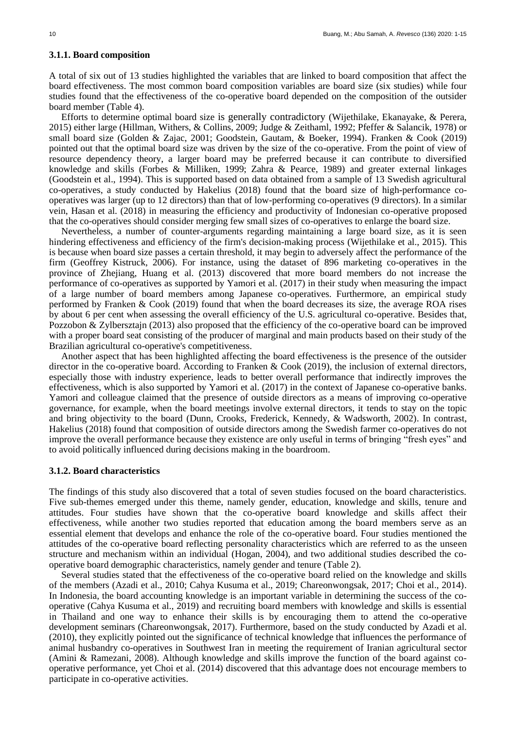#### **3.1.1. Board composition**

A total of six out of 13 studies highlighted the variables that are linked to board composition that affect the board effectiveness. The most common board composition variables are board size (six studies) while four studies found that the effectiveness of the co-operative board depended on the composition of the outsider board member (Table 4).

Efforts to determine optimal board size is generally contradictory (Wijethilake, Ekanayake, & Perera, 2015) either large (Hillman, Withers, & Collins, 2009; Judge & Zeithaml, 1992; Pfeffer & Salancik, 1978) or small board size (Golden & Zajac, 2001; Goodstein, Gautam, & Boeker, 1994). Franken & Cook (2019) pointed out that the optimal board size was driven by the size of the co-operative. From the point of view of resource dependency theory, a larger board may be preferred because it can contribute to diversified knowledge and skills (Forbes & Milliken, 1999; Zahra & Pearce, 1989) and greater external linkages (Goodstein et al., 1994). This is supported based on data obtained from a sample of 13 Swedish agricultural co-operatives, a study conducted by Hakelius (2018) found that the board size of high-performance cooperatives was larger (up to 12 directors) than that of low-performing co-operatives (9 directors). In a similar vein, Hasan et al. (2018) in measuring the efficiency and productivity of Indonesian co-operative proposed that the co-operatives should consider merging few small sizes of co-operatives to enlarge the board size.

Nevertheless, a number of counter-arguments regarding maintaining a large board size, as it is seen hindering effectiveness and efficiency of the firm's decision-making process (Wijethilake et al., 2015). This is because when board size passes a certain threshold, it may begin to adversely affect the performance of the firm (Geoffrey Kistruck, 2006). For instance, using the dataset of 896 marketing co-operatives in the province of Zhejiang, Huang et al. (2013) discovered that more board members do not increase the performance of co-operatives as supported by Yamori et al. (2017) in their study when measuring the impact of a large number of board members among Japanese co-operatives. Furthermore, an empirical study performed by Franken & Cook (2019) found that when the board decreases its size, the average ROA rises by about 6 per cent when assessing the overall efficiency of the U.S. agricultural co-operative. Besides that, Pozzobon & Zylbersztajn (2013) also proposed that the efficiency of the co-operative board can be improved with a proper board seat consisting of the producer of marginal and main products based on their study of the Brazilian agricultural co-operative's competitiveness.

Another aspect that has been highlighted affecting the board effectiveness is the presence of the outsider director in the co-operative board. According to Franken & Cook (2019), the inclusion of external directors, especially those with industry experience, leads to better overall performance that indirectly improves the effectiveness, which is also supported by Yamori et al. (2017) in the context of Japanese co-operative banks. Yamori and colleague claimed that the presence of outside directors as a means of improving co-operative governance, for example, when the board meetings involve external directors, it tends to stay on the topic and bring objectivity to the board (Dunn, Crooks, Frederick, Kennedy, & Wadsworth, 2002). In contrast, Hakelius (2018) found that composition of outside directors among the Swedish farmer co-operatives do not improve the overall performance because they existence are only useful in terms of bringing "fresh eyes" and to avoid politically influenced during decisions making in the boardroom.

## **3.1.2. Board characteristics**

The findings of this study also discovered that a total of seven studies focused on the board characteristics. Five sub-themes emerged under this theme, namely gender, education, knowledge and skills, tenure and attitudes. Four studies have shown that the co-operative board knowledge and skills affect their effectiveness, while another two studies reported that education among the board members serve as an essential element that develops and enhance the role of the co-operative board. Four studies mentioned the attitudes of the co-operative board reflecting personality characteristics which are referred to as the unseen structure and mechanism within an individual (Hogan, 2004), and two additional studies described the cooperative board demographic characteristics, namely gender and tenure (Table 2).

Several studies stated that the effectiveness of the co-operative board relied on the knowledge and skills of the members (Azadi et al., 2010; Cahya Kusuma et al., 2019; Chareonwongsak, 2017; Choi et al., 2014). In Indonesia, the board accounting knowledge is an important variable in determining the success of the cooperative (Cahya Kusuma et al., 2019) and recruiting board members with knowledge and skills is essential in Thailand and one way to enhance their skills is by encouraging them to attend the co-operative development seminars (Chareonwongsak, 2017). Furthermore, based on the study conducted by Azadi et al. (2010), they explicitly pointed out the significance of technical knowledge that influences the performance of animal husbandry co-operatives in Southwest Iran in meeting the requirement of Iranian agricultural sector (Amini & Ramezani, 2008). Although knowledge and skills improve the function of the board against cooperative performance, yet Choi et al. (2014) discovered that this advantage does not encourage members to participate in co-operative activities.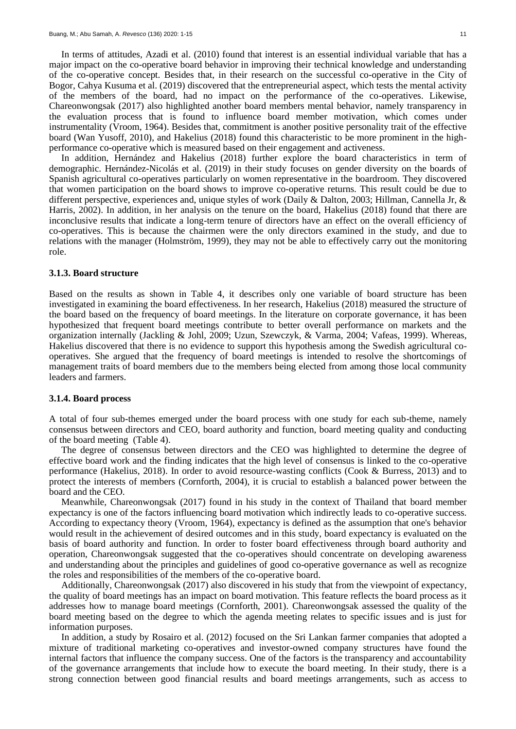In terms of attitudes, Azadi et al. (2010) found that interest is an essential individual variable that has a major impact on the co-operative board behavior in improving their technical knowledge and understanding of the co-operative concept. Besides that, in their research on the successful co-operative in the City of Bogor, Cahya Kusuma et al. (2019) discovered that the entrepreneurial aspect, which tests the mental activity of the members of the board, had no impact on the performance of the co-operatives. Likewise, Chareonwongsak (2017) also highlighted another board members mental behavior, namely transparency in the evaluation process that is found to influence board member motivation, which comes under instrumentality (Vroom, 1964). Besides that, commitment is another positive personality trait of the effective board (Wan Yusoff, 2010), and Hakelius (2018) found this characteristic to be more prominent in the highperformance co-operative which is measured based on their engagement and activeness.

In addition, Hernández and Hakelius (2018) further explore the board characteristics in term of demographic. Hernández-Nicolás et al. (2019) in their study focuses on gender diversity on the boards of Spanish agricultural co-operatives particularly on women representative in the boardroom. They discovered that women participation on the board shows to improve co-operative returns. This result could be due to different perspective, experiences and, unique styles of work (Daily & Dalton, 2003; Hillman, Cannella Jr, & Harris, 2002). In addition, in her analysis on the tenure on the board, Hakelius (2018) found that there are inconclusive results that indicate a long-term tenure of directors have an effect on the overall efficiency of co-operatives. This is because the chairmen were the only directors examined in the study, and due to relations with the manager (Holmström, 1999), they may not be able to effectively carry out the monitoring role.

#### **3.1.3. Board structure**

Based on the results as shown in Table 4, it describes only one variable of board structure has been investigated in examining the board effectiveness. In her research, Hakelius (2018) measured the structure of the board based on the frequency of board meetings. In the literature on corporate governance, it has been hypothesized that frequent board meetings contribute to better overall performance on markets and the organization internally (Jackling & Johl, 2009; Uzun, Szewczyk, & Varma, 2004; Vafeas, 1999). Whereas, Hakelius discovered that there is no evidence to support this hypothesis among the Swedish agricultural cooperatives. She argued that the frequency of board meetings is intended to resolve the shortcomings of management traits of board members due to the members being elected from among those local community leaders and farmers.

#### **3.1.4. Board process**

A total of four sub-themes emerged under the board process with one study for each sub-theme, namely consensus between directors and CEO, board authority and function, board meeting quality and conducting of the board meeting (Table 4).

The degree of consensus between directors and the CEO was highlighted to determine the degree of effective board work and the finding indicates that the high level of consensus is linked to the co-operative performance (Hakelius, 2018). In order to avoid resource-wasting conflicts (Cook & Burress, 2013) and to protect the interests of members (Cornforth, 2004), it is crucial to establish a balanced power between the board and the CEO.

Meanwhile, Chareonwongsak (2017) found in his study in the context of Thailand that board member expectancy is one of the factors influencing board motivation which indirectly leads to co-operative success. According to expectancy theory (Vroom, 1964), expectancy is defined as the assumption that one's behavior would result in the achievement of desired outcomes and in this study, board expectancy is evaluated on the basis of board authority and function. In order to foster board effectiveness through board authority and operation, Chareonwongsak suggested that the co-operatives should concentrate on developing awareness and understanding about the principles and guidelines of good co-operative governance as well as recognize the roles and responsibilities of the members of the co-operative board.

Additionally, Chareonwongsak (2017) also discovered in his study that from the viewpoint of expectancy, the quality of board meetings has an impact on board motivation. This feature reflects the board process as it addresses how to manage board meetings (Cornforth, 2001). Chareonwongsak assessed the quality of the board meeting based on the degree to which the agenda meeting relates to specific issues and is just for information purposes.

In addition, a study by Rosairo et al. (2012) focused on the Sri Lankan farmer companies that adopted a mixture of traditional marketing co-operatives and investor-owned company structures have found the internal factors that influence the company success. One of the factors is the transparency and accountability of the governance arrangements that include how to execute the board meeting. In their study, there is a strong connection between good financial results and board meetings arrangements, such as access to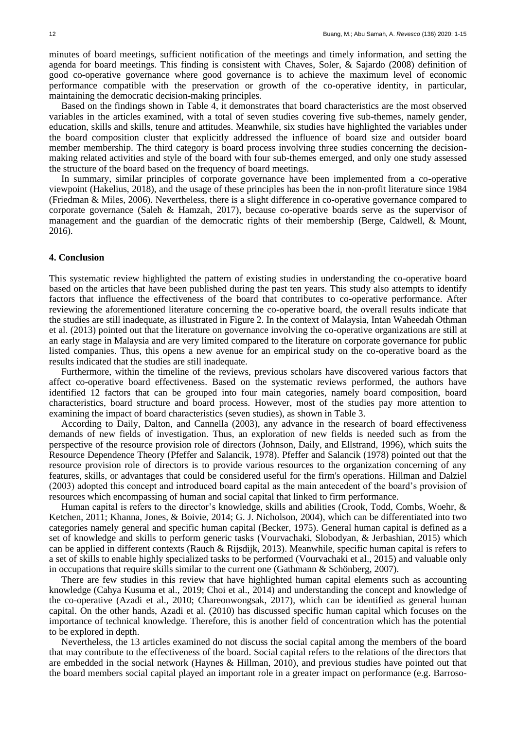minutes of board meetings, sufficient notification of the meetings and timely information, and setting the agenda for board meetings. This finding is consistent with Chaves, Soler, & Sajardo (2008) definition of good co-operative governance where good governance is to achieve the maximum level of economic performance compatible with the preservation or growth of the co-operative identity, in particular, maintaining the democratic decision-making principles.

Based on the findings shown in Table 4, it demonstrates that board characteristics are the most observed variables in the articles examined, with a total of seven studies covering five sub-themes, namely gender, education, skills and skills, tenure and attitudes. Meanwhile, six studies have highlighted the variables under the board composition cluster that explicitly addressed the influence of board size and outsider board member membership. The third category is board process involving three studies concerning the decisionmaking related activities and style of the board with four sub-themes emerged, and only one study assessed the structure of the board based on the frequency of board meetings.

In summary, similar principles of corporate governance have been implemented from a co-operative viewpoint (Hakelius, 2018), and the usage of these principles has been the in non-profit literature since 1984 (Friedman & Miles, 2006). Nevertheless, there is a slight difference in co-operative governance compared to corporate governance (Saleh & Hamzah, 2017), because co-operative boards serve as the supervisor of management and the guardian of the democratic rights of their membership (Berge, Caldwell, & Mount, 2016).

#### **4. Conclusion**

This systematic review highlighted the pattern of existing studies in understanding the co-operative board based on the articles that have been published during the past ten years. This study also attempts to identify factors that influence the effectiveness of the board that contributes to co-operative performance. After reviewing the aforementioned literature concerning the co-operative board, the overall results indicate that the studies are still inadequate, as illustrated in Figure 2. In the context of Malaysia, Intan Waheedah Othman et al. (2013) pointed out that the literature on governance involving the co-operative organizations are still at an early stage in Malaysia and are very limited compared to the literature on corporate governance for public listed companies. Thus, this opens a new avenue for an empirical study on the co-operative board as the results indicated that the studies are still inadequate.

Furthermore, within the timeline of the reviews, previous scholars have discovered various factors that affect co-operative board effectiveness. Based on the systematic reviews performed, the authors have identified 12 factors that can be grouped into four main categories, namely board composition, board characteristics, board structure and board process. However, most of the studies pay more attention to examining the impact of board characteristics (seven studies), as shown in Table 3.

According to Daily, Dalton, and Cannella (2003), any advance in the research of board effectiveness demands of new fields of investigation. Thus, an exploration of new fields is needed such as from the perspective of the resource provision role of directors (Johnson, Daily, and Ellstrand, 1996), which suits the Resource Dependence Theory (Pfeffer and Salancik, 1978). Pfeffer and Salancik (1978) pointed out that the resource provision role of directors is to provide various resources to the organization concerning of any features, skills, or advantages that could be considered useful for the firm's operations. Hillman and Dalziel (2003) adopted this concept and introduced board capital as the main antecedent of the board's provision of resources which encompassing of human and social capital that linked to firm performance.

Human capital is refers to the director's knowledge, skills and abilities (Crook, Todd, Combs, Woehr, & Ketchen, 2011; Khanna, Jones, & Boivie, 2014; G. J. Nicholson, 2004), which can be differentiated into two categories namely general and specific human capital (Becker, 1975). General human capital is defined as a set of knowledge and skills to perform generic tasks (Vourvachaki, Slobodyan, & Jerbashian, 2015) which can be applied in different contexts (Rauch & Rijsdijk, 2013). Meanwhile, specific human capital is refers to a set of skills to enable highly specialized tasks to be performed (Vourvachaki et al., 2015) and valuable only in occupations that require skills similar to the current one (Gathmann & Schönberg, 2007).

There are few studies in this review that have highlighted human capital elements such as accounting knowledge (Cahya Kusuma et al., 2019; Choi et al., 2014) and understanding the concept and knowledge of the co-operative (Azadi et al., 2010; Chareonwongsak, 2017), which can be identified as general human capital. On the other hands, Azadi et al. (2010) has discussed specific human capital which focuses on the importance of technical knowledge. Therefore, this is another field of concentration which has the potential to be explored in depth.

Nevertheless, the 13 articles examined do not discuss the social capital among the members of the board that may contribute to the effectiveness of the board. Social capital refers to the relations of the directors that are embedded in the social network (Haynes & Hillman, 2010), and previous studies have pointed out that the board members social capital played an important role in a greater impact on performance (e.g. Barroso-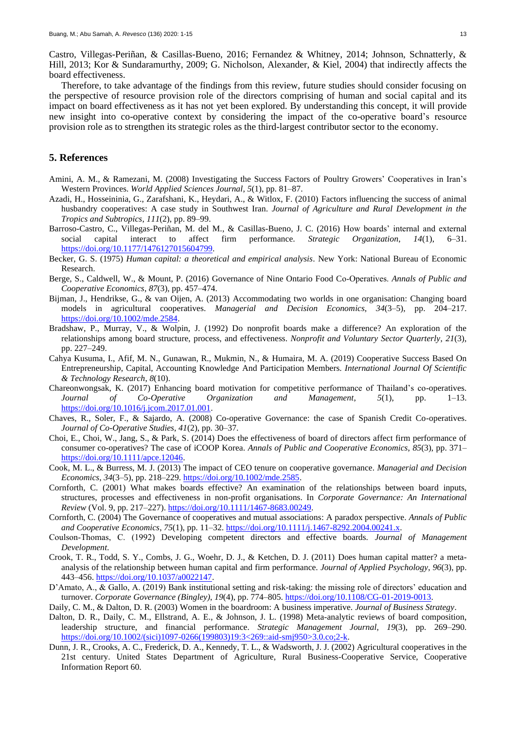Therefore, to take advantage of the findings from this review, future studies should consider focusing on the perspective of resource provision role of the directors comprising of human and social capital and its impact on board effectiveness as it has not yet been explored. By understanding this concept, it will provide new insight into co-operative context by considering the impact of the co-operative board's resource provision role as to strengthen its strategic roles as the third-largest contributor sector to the economy.

## **5. References**

- Amini, A. M., & Ramezani, M. (2008) Investigating the Success Factors of Poultry Growers' Cooperatives in Iran's Western Provinces. *World Applied Sciences Journal*, *5*(1), pp. 81–87.
- Azadi, H., Hosseininia, G., Zarafshani, K., Heydari, A., & Witlox, F. (2010) Factors influencing the success of animal husbandry cooperatives: A case study in Southwest Iran. *Journal of Agriculture and Rural Development in the Tropics and Subtropics*, *111*(2), pp. 89–99.
- Barroso-Castro, C., Villegas-Periñan, M. del M., & Casillas-Bueno, J. C. (2016) How boards' internal and external social capital interact to affect firm performance. *Strategic Organization*, *14*(1), 6–31. [https://doi.org/10.1177/1476127015604799.](https://doi.org/10.1177/1476127015604799)
- Becker, G. S. (1975) *Human capital: a theoretical and empirical analysis*. New York: National Bureau of Economic Research.
- Berge, S., Caldwell, W., & Mount, P. (2016) Governance of Nine Ontario Food Co‐Operatives. *Annals of Public and Cooperative Economics*, *87*(3), pp. 457–474.
- Bijman, J., Hendrikse, G., & van Oijen, A. (2013) Accommodating two worlds in one organisation: Changing board models in agricultural cooperatives. *Managerial and Decision Economics*, *34*(3–5), pp. 204–217. [https://doi.org/10.1002/mde.2584.](https://doi.org/10.1002/mde.2584)
- Bradshaw, P., Murray, V., & Wolpin, J. (1992) Do nonprofit boards make a difference? An exploration of the relationships among board structure, process, and effectiveness. *Nonprofit and Voluntary Sector Quarterly*, *21*(3), pp. 227–249.
- Cahya Kusuma, I., Afif, M. N., Gunawan, R., Mukmin, N., & Humaira, M. A. (2019) Cooperative Success Based On Entrepreneurship, Capital, Accounting Knowledge And Participation Members. *International Journal Of Scientific & Technology Research*, *8*(10).
- Chareonwongsak, K. (2017) Enhancing board motivation for competitive performance of Thailand's co-operatives. *Journal of Co-Operative Organization and Management*, *5*(1), pp. 1–13. [https://doi.org/10.1016/j.jcom.2017.01.001.](https://doi.org/10.1016/j.jcom.2017.01.001)
- Chaves, R., Soler, F., & Sajardo, A. (2008) Co-operative Governance: the case of Spanish Credit Co-operatives. *Journal of Co-Operative Studies*, *41*(2), pp. 30–37.
- Choi, E., Choi, W., Jang, S., & Park, S. (2014) Does the effectiveness of board of directors affect firm performance of consumer co-operatives? The case of iCOOP Korea. *Annals of Public and Cooperative Economics*, *85*(3), pp. 371– [https://doi.org/10.1111/apce.12046.](https://doi.org/10.1111/apce.12046)
- Cook, M. L., & Burress, M. J. (2013) The impact of CEO tenure on cooperative governance. *Managerial and Decision Economics*, *34*(3–5), pp. 218–229[. https://doi.org/10.1002/mde.2585.](https://doi.org/10.1002/mde.2585)
- Cornforth, C. (2001) What makes boards effective? An examination of the relationships between board inputs, structures, processes and effectiveness in non-profit organisations. In *Corporate Governance: An International Review* (Vol. 9, pp. 217–227). [https://doi.org/10.1111/1467-8683.00249.](https://doi.org/10.1111/1467-8683.00249)
- Cornforth, C. (2004) The Governance of cooperatives and mutual associations: A paradox perspective. *Annals of Public and Cooperative Economics*, *75*(1), pp. 11–32. [https://doi.org/10.1111/j.1467-8292.2004.00241.x.](https://doi.org/10.1111/j.1467-8292.2004.00241.x)
- Coulson‐Thomas, C. (1992) Developing competent directors and effective boards. *Journal of Management Development*.
- Crook, T. R., Todd, S. Y., Combs, J. G., Woehr, D. J., & Ketchen, D. J. (2011) Does human capital matter? a metaanalysis of the relationship between human capital and firm performance. *Journal of Applied Psychology*, *96*(3), pp. 443–456. [https://doi.org/10.1037/a0022147.](https://doi.org/10.1037/a0022147)
- D'Amato, A., & Gallo, A. (2019) Bank institutional setting and risk-taking: the missing role of directors' education and turnover. *Corporate Governance (Bingley)*, *19*(4), pp. 774–805. [https://doi.org/10.1108/CG-01-2019-0013.](https://doi.org/10.1108/CG-01-2019-0013)
- Daily, C. M., & Dalton, D. R. (2003) Women in the boardroom: A business imperative. *Journal of Business Strategy*.
- Dalton, D. R., Daily, C. M., Ellstrand, A. E., & Johnson, J. L. (1998) Meta-analytic reviews of board composition, leadership structure, and financial performance. *Strategic Management Journal*, *19*(3), pp. 269–290. [https://doi.org/10.1002/\(sici\)1097-0266\(199803\)19:3<269::aid-smj950>3.0.co;2-k.](https://doi.org/10.1002/(sici)1097-0266(199803)19:3%3c269::aid-smj950%3e3.0.co;2-k)
- Dunn, J. R., Crooks, A. C., Frederick, D. A., Kennedy, T. L., & Wadsworth, J. J. (2002) Agricultural cooperatives in the 21st century. United States Department of Agriculture, Rural Business-Cooperative Service, Cooperative Information Report 60.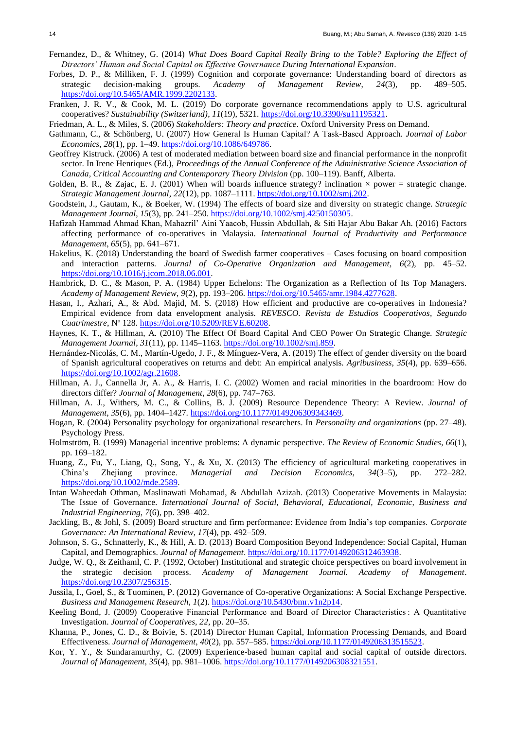- Fernandez, D., & Whitney, G. (2014) *What Does Board Capital Really Bring to the Table? Exploring the Effect of Directors' Human and Social Capital on Effective Governance During International Expansion*.
- Forbes, D. P., & Milliken, F. J. (1999) Cognition and corporate governance: Understanding board of directors as strategic decision-making groups. *Academy of Management Review*, *24*(3), pp. 489–505. [https://doi.org/10.5465/AMR.1999.2202133.](https://doi.org/10.5465/AMR.1999.2202133)
- Franken, J. R. V., & Cook, M. L. (2019) Do corporate governance recommendations apply to U.S. agricultural cooperatives? *Sustainability (Switzerland)*, *11*(19), 5321. [https://doi.org/10.3390/su11195321.](https://doi.org/10.3390/su11195321)
- Friedman, A. L., & Miles, S. (2006) *Stakeholders: Theory and practice*. Oxford University Press on Demand.
- Gathmann, C., & Schönberg, U. (2007) How General Is Human Capital? A Task‐Based Approach. *Journal of Labor Economics*, *28*(1), pp. 1–49. [https://doi.org/10.1086/649786.](https://doi.org/10.1086/649786)
- Geoffrey Kistruck. (2006) A test of moderated mediation between board size and financial performance in the nonprofit sector. In Irene Henriques (Ed.), *Proceedings of the Annual Conference of the Administrative Science Association of Canada, Critical Accounting and Contemporary Theory Division* (pp. 100–119). Banff, Alberta.
- Golden, B. R., & Zajac, E. J. (2001) When will boards influence strategy? inclination  $\times$  power = strategic change. *Strategic Management Journal*, *22*(12), pp. 1087–1111. [https://doi.org/10.1002/smj.202.](https://doi.org/10.1002/smj.202)
- Goodstein, J., Gautam, K., & Boeker, W. (1994) The effects of board size and diversity on strategic change. *Strategic Management Journal*, *15*(3), pp. 241–250. [https://doi.org/10.1002/smj.4250150305.](https://doi.org/10.1002/smj.4250150305)
- Hafizah Hammad Ahmad Khan, Mahazril' Aini Yaacob, Hussin Abdullah, & Siti Hajar Abu Bakar Ah. (2016) Factors affecting performance of co-operatives in Malaysia. *International Journal of Productivity and Performance Management*, *65*(5), pp. 641–671.
- Hakelius, K. (2018) Understanding the board of Swedish farmer cooperatives Cases focusing on board composition and interaction patterns. *Journal of Co-Operative Organization and Management*, *6*(2), pp. 45–52. [https://doi.org/10.1016/j.jcom.2018.06.001.](https://doi.org/10.1016/j.jcom.2018.06.001)
- Hambrick, D. C., & Mason, P. A. (1984) Upper Echelons: The Organization as a Reflection of Its Top Managers. *Academy of Management Review*, *9*(2), pp. 193–206[. https://doi.org/10.5465/amr.1984.4277628.](https://doi.org/10.5465/amr.1984.4277628)
- Hasan, I., Azhari, A., & Abd. Majid, M. S. (2018) How efficient and productive are co-operatives in Indonesia? Empirical evidence from data envelopment analysis. *REVESCO. Revista de Estudios Cooperativos, Segundo Cuatrimestre*, Nº 128. [https://doi.org/10.5209/REVE.60208.](https://doi.org/10.5209/REVE.60208)
- Haynes, K. T., & Hillman, A. (2010) The Effect Of Board Capital And CEO Power On Strategic Change. *Strategic Management Journal*, *31*(11), pp. 1145–1163. [https://doi.org/10.1002/smj.859.](https://doi.org/10.1002/smj.859)
- Hernández-Nicolás, C. M., Martín-Ugedo, J. F., & Mínguez-Vera, A. (2019) The effect of gender diversity on the board of Spanish agricultural cooperatives on returns and debt: An empirical analysis. *Agribusiness*, *35*(4), pp. 639–656. [https://doi.org/10.1002/agr.21608.](https://doi.org/10.1002/agr.21608)
- Hillman, A. J., Cannella Jr, A. A., & Harris, I. C. (2002) Women and racial minorities in the boardroom: How do directors differ? *Journal of Management*, *28*(6), pp. 747–763.
- Hillman, A. J., Withers, M. C., & Collins, B. J. (2009) Resource Dependence Theory: A Review. *Journal of Management*, *35*(6), pp. 1404–1427. [https://doi.org/10.1177/0149206309343469.](https://doi.org/10.1177/0149206309343469)
- Hogan, R. (2004) Personality psychology for organizational researchers. In *Personality and organizations* (pp. 27–48). Psychology Press.
- Holmström, B. (1999) Managerial incentive problems: A dynamic perspective. *The Review of Economic Studies*, *66*(1), pp. 169–182.
- Huang, Z., Fu, Y., Liang, Q., Song, Y., & Xu, X. (2013) The efficiency of agricultural marketing cooperatives in China's Zhejiang province. *Managerial and Decision Economics*, *34*(3–5), pp. 272–282. [https://doi.org/10.1002/mde.2589.](https://doi.org/10.1002/mde.2589)
- Intan Waheedah Othman, Maslinawati Mohamad, & Abdullah Azizah. (2013) Cooperative Movements in Malaysia: The Issue of Governance. *International Journal of Social, Behavioral, Educational, Economic, Business and Industrial Engineering*, *7*(6), pp. 398–402.
- Jackling, B., & Johl, S. (2009) Board structure and firm performance: Evidence from India's top companies. *Corporate Governance: An International Review*, *17*(4), pp. 492–509.
- Johnson, S. G., Schnatterly, K., & Hill, A. D. (2013) Board Composition Beyond Independence: Social Capital, Human Capital, and Demographics. *Journal of Management*. [https://doi.org/10.1177/0149206312463938.](https://doi.org/10.1177/0149206312463938)
- Judge, W. Q., & Zeithaml, C. P. (1992, October) Institutional and strategic choice perspectives on board involvement in the strategic decision process. *Academy of Management Journal. Academy of Management*. [https://doi.org/10.2307/256315.](https://doi.org/10.2307/256315)
- Jussila, I., Goel, S., & Tuominen, P. (2012) Governance of Co-operative Organizations: A Social Exchange Perspective. *Business and Management Research*, *1*(2)[. https://doi.org/10.5430/bmr.v1n2p14.](https://doi.org/10.5430/bmr.v1n2p14)
- Keeling Bond, J. (2009) Cooperative Financial Performance and Board of Director Characteristics : A Quantitative Investigation. *Journal of Cooperatives*, *22*, pp. 20–35.
- Khanna, P., Jones, C. D., & Boivie, S. (2014) Director Human Capital, Information Processing Demands, and Board Effectiveness. *Journal of Management*, *40*(2), pp. 557–585[. https://doi.org/10.1177/0149206313515523.](https://doi.org/10.1177/0149206313515523)
- Kor, Y. Y., & Sundaramurthy, C. (2009) Experience-based human capital and social capital of outside directors. *Journal of Management*, *35*(4), pp. 981–1006[. https://doi.org/10.1177/0149206308321551.](https://doi.org/10.1177/0149206308321551)